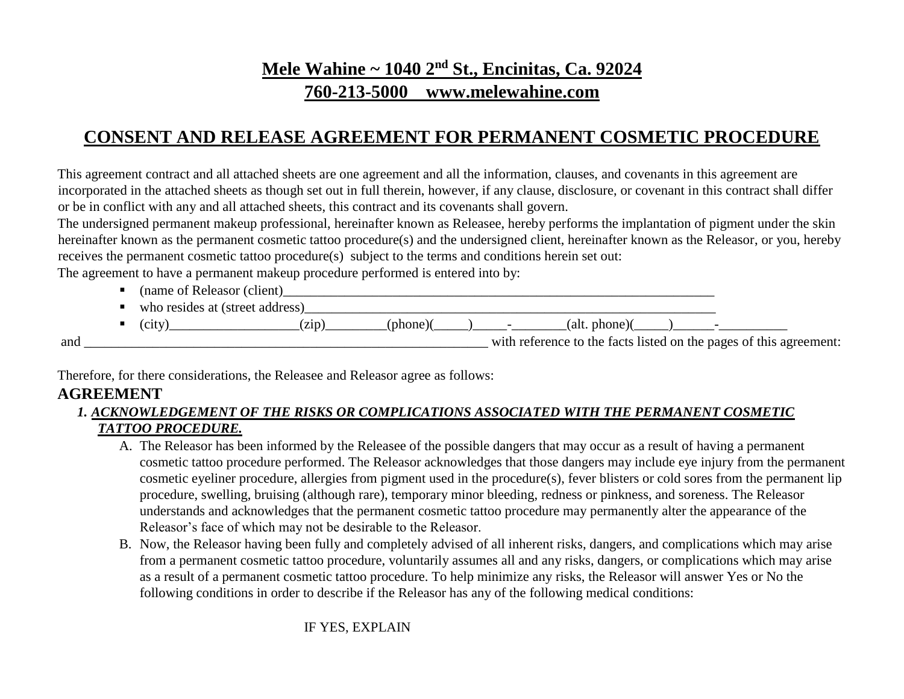## **Mele Wahine ~ 1040 2nd St., Encinitas, Ca. 92024**

## **760-213-5000 www.melewahine.com**

## **CONSENT AND RELEASE AGREEMENT FOR PERMANENT COSMETIC PROCEDURE**

This agreement contract and all attached sheets are one agreement and all the information, clauses, and covenants in this agreement are incorporated in the attached sheets as though set out in full therein, however, if any clause, disclosure, or covenant in this contract shall differ or be in conflict with any and all attached sheets, this contract and its covenants shall govern.

The undersigned permanent makeup professional, hereinafter known as Releasee, hereby performs the implantation of pigment under the skin hereinafter known as the permanent cosmetic tattoo procedure(s) and the undersigned client, hereinafter known as the Releasor, or you, hereby receives the permanent cosmetic tattoo procedure(s) subject to the terms and conditions herein set out:

The agreement to have a permanent makeup procedure performed is entered into by:

- (name of Releasor (client)\_\_\_\_\_\_\_\_\_\_\_\_\_\_\_\_\_\_\_\_\_\_\_\_\_\_\_\_\_\_\_\_\_\_\_\_\_\_\_\_\_\_\_\_\_\_\_\_\_\_\_\_\_\_\_\_\_\_\_\_\_\_\_
- who resides at (street address)

| . . | 0.014<br>$\cdot$ u | . |  | TЯ<br>nn<br>,,,, |  |
|-----|--------------------|---|--|------------------|--|
|     |                    |   |  |                  |  |

and  $\frac{1}{\sqrt{1-\frac{1}{\sqrt{1-\frac{1}{\sqrt{1-\frac{1}{\sqrt{1-\frac{1}{\sqrt{1-\frac{1}{\sqrt{1-\frac{1}{\sqrt{1-\frac{1}{\sqrt{1-\frac{1}{\sqrt{1-\frac{1}{\sqrt{1-\frac{1}{\sqrt{1-\frac{1}{\sqrt{1-\frac{1}{\sqrt{1-\frac{1}{\sqrt{1-\frac{1}{\sqrt{1-\frac{1}{\sqrt{1-\frac{1}{\sqrt{1-\frac{1}{\sqrt{1-\frac{1}{\sqrt{1-\frac{1}{\sqrt{1-\frac{1}{\sqrt{1-\frac{1}{\sqrt{1-\frac{1}{\sqrt{1-\frac{1}{\sqrt{1-\$ 

Therefore, for there considerations, the Releasee and Releasor agree as follows:

## **AGREEMENT**

#### *1. ACKNOWLEDGEMENT OF THE RISKS OR COMPLICATIONS ASSOCIATED WITH THE PERMANENT COSMETIC TATTOO PROCEDURE.*

- A. The Releasor has been informed by the Releasee of the possible dangers that may occur as a result of having a permanent cosmetic tattoo procedure performed. The Releasor acknowledges that those dangers may include eye injury from the permanent cosmetic eyeliner procedure, allergies from pigment used in the procedure(s), fever blisters or cold sores from the permanent lip procedure, swelling, bruising (although rare), temporary minor bleeding, redness or pinkness, and soreness. The Releasor understands and acknowledges that the permanent cosmetic tattoo procedure may permanently alter the appearance of the Releasor's face of which may not be desirable to the Releasor.
- B. Now, the Releasor having been fully and completely advised of all inherent risks, dangers, and complications which may arise from a permanent cosmetic tattoo procedure, voluntarily assumes all and any risks, dangers, or complications which may arise as a result of a permanent cosmetic tattoo procedure. To help minimize any risks, the Releasor will answer Yes or No the following conditions in order to describe if the Releasor has any of the following medical conditions:

IF YES, EXPLAIN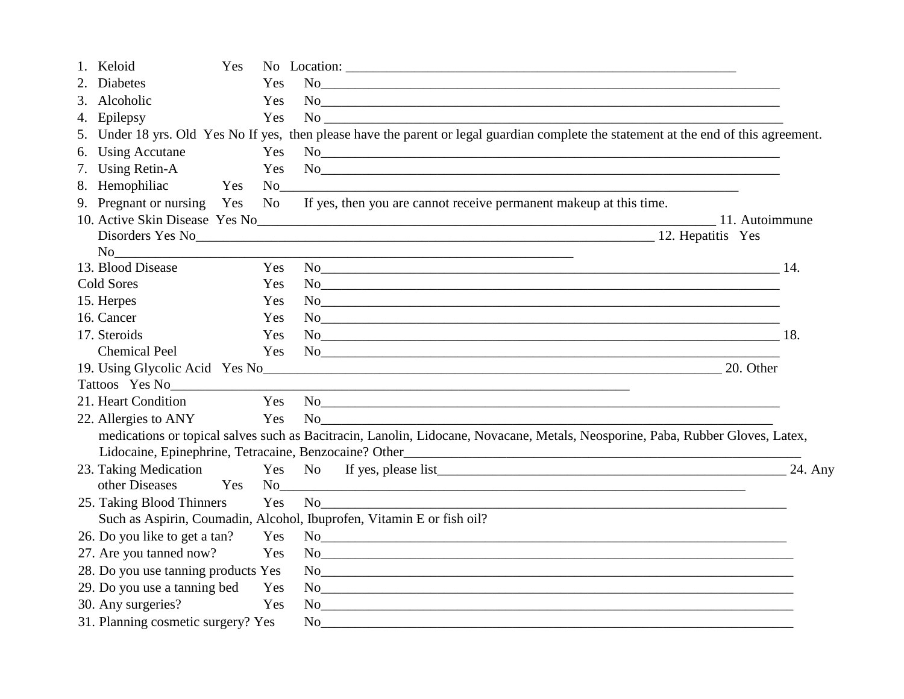| 1. Keloid                                              | Yes |           |                                                                                                                                                                                                                                |                                                                                                                                                                                                                                                                                                                                                                                                                 |
|--------------------------------------------------------|-----|-----------|--------------------------------------------------------------------------------------------------------------------------------------------------------------------------------------------------------------------------------|-----------------------------------------------------------------------------------------------------------------------------------------------------------------------------------------------------------------------------------------------------------------------------------------------------------------------------------------------------------------------------------------------------------------|
| <b>Diabetes</b>                                        |     | Yes       | <b>No</b>                                                                                                                                                                                                                      |                                                                                                                                                                                                                                                                                                                                                                                                                 |
| 3.<br>Alcoholic                                        |     | Yes       |                                                                                                                                                                                                                                | No <u>experience and the set of the set of the set of the set of the set of the set of the set of the set of the set of the set of the set of the set of the set of the set of the set of the set of the set of the set of the s</u>                                                                                                                                                                            |
| 4. Epilepsy                                            |     | Yes       |                                                                                                                                                                                                                                | $\rm No$                                                                                                                                                                                                                                                                                                                                                                                                        |
|                                                        |     |           |                                                                                                                                                                                                                                | 5. Under 18 yrs. Old Yes No If yes, then please have the parent or legal guardian complete the statement at the end of this agreement.                                                                                                                                                                                                                                                                          |
| 6. Using Accutane                                      |     | Yes       |                                                                                                                                                                                                                                | No                                                                                                                                                                                                                                                                                                                                                                                                              |
| 7. Using Retin-A                                       |     | Yes       |                                                                                                                                                                                                                                | No                                                                                                                                                                                                                                                                                                                                                                                                              |
| 8. Hemophiliac                                         | Yes | <b>No</b> |                                                                                                                                                                                                                                |                                                                                                                                                                                                                                                                                                                                                                                                                 |
| 9. Pregnant or nursing Yes                             |     |           |                                                                                                                                                                                                                                | No If yes, then you are cannot receive permanent makeup at this time.                                                                                                                                                                                                                                                                                                                                           |
|                                                        |     |           |                                                                                                                                                                                                                                |                                                                                                                                                                                                                                                                                                                                                                                                                 |
|                                                        |     |           |                                                                                                                                                                                                                                | Disorders Yes No 12. Hepatitis Yes                                                                                                                                                                                                                                                                                                                                                                              |
| No                                                     |     |           |                                                                                                                                                                                                                                |                                                                                                                                                                                                                                                                                                                                                                                                                 |
| 13. Blood Disease                                      |     | Yes       |                                                                                                                                                                                                                                | $No$ 14.                                                                                                                                                                                                                                                                                                                                                                                                        |
| Cold Sores                                             |     | Yes       |                                                                                                                                                                                                                                | No                                                                                                                                                                                                                                                                                                                                                                                                              |
| 15. Herpes                                             |     | Yes       |                                                                                                                                                                                                                                | No <u>the contract of the contract of the contract of the contract of the contract of the contract of the contract of the contract of the contract of the contract of the contract of the contract of the contract of the contra</u>                                                                                                                                                                            |
| 16. Cancer                                             |     | Yes       |                                                                                                                                                                                                                                | No                                                                                                                                                                                                                                                                                                                                                                                                              |
| 17. Steroids                                           |     | Yes       |                                                                                                                                                                                                                                | $No$ 18.                                                                                                                                                                                                                                                                                                                                                                                                        |
| <b>Chemical Peel</b>                                   |     | Yes       |                                                                                                                                                                                                                                | No                                                                                                                                                                                                                                                                                                                                                                                                              |
|                                                        |     |           |                                                                                                                                                                                                                                | 20. Other                                                                                                                                                                                                                                                                                                                                                                                                       |
|                                                        |     |           | Tattoos Yes No                                                                                                                                                                                                                 |                                                                                                                                                                                                                                                                                                                                                                                                                 |
| 21. Heart Condition                                    |     | Yes       |                                                                                                                                                                                                                                |                                                                                                                                                                                                                                                                                                                                                                                                                 |
| 22. Allergies to ANY Yes                               |     |           | No and the state of the state of the state of the state of the state of the state of the state of the state of the state of the state of the state of the state of the state of the state of the state of the state of the sta |                                                                                                                                                                                                                                                                                                                                                                                                                 |
|                                                        |     |           |                                                                                                                                                                                                                                | medications or topical salves such as Bacitracin, Lanolin, Lidocane, Novacane, Metals, Neosporine, Paba, Rubber Gloves, Latex,                                                                                                                                                                                                                                                                                  |
| Lidocaine, Epinephrine, Tetracaine, Benzocaine? Other_ |     |           |                                                                                                                                                                                                                                |                                                                                                                                                                                                                                                                                                                                                                                                                 |
| 23. Taking Medication                                  |     | Yes       |                                                                                                                                                                                                                                | 24. Any                                                                                                                                                                                                                                                                                                                                                                                                         |
| other Diseases                                         | Yes | No        |                                                                                                                                                                                                                                |                                                                                                                                                                                                                                                                                                                                                                                                                 |
| 25. Taking Blood Thinners                              |     | Yes       |                                                                                                                                                                                                                                | $No$ and $\overline{\phantom{a}}$ and $\overline{\phantom{a}}$ and $\overline{\phantom{a}}$ and $\overline{\phantom{a}}$ and $\overline{\phantom{a}}$ and $\overline{\phantom{a}}$ and $\overline{\phantom{a}}$ and $\overline{\phantom{a}}$ and $\overline{\phantom{a}}$ and $\overline{\phantom{a}}$ and $\overline{\phantom{a}}$ and $\overline{\phantom{a}}$ and $\overline{\phantom{a}}$ and $\overline{\$ |
|                                                        |     |           | Such as Aspirin, Coumadin, Alcohol, Ibuprofen, Vitamin E or fish oil?                                                                                                                                                          |                                                                                                                                                                                                                                                                                                                                                                                                                 |
| 26. Do you like to get a tan? Yes                      |     |           |                                                                                                                                                                                                                                | No                                                                                                                                                                                                                                                                                                                                                                                                              |
| 27. Are you tanned now?                                | Yes |           |                                                                                                                                                                                                                                | No <u>example and the set of the set of the set of the set of the set of the set of the set of the set of the set of the set of the set of the set of the set of the set of the set of the set of the set of the set of the set </u>                                                                                                                                                                            |
| 28. Do you use tanning products Yes                    |     |           |                                                                                                                                                                                                                                | No <u>example and the set of the set of the set of the set of the set of the set of the set of the set of the set of the set of the set of the set of the set of the set of the set of the set of the set of the set of the set </u>                                                                                                                                                                            |
| 29. Do you use a tanning bed Yes                       |     |           |                                                                                                                                                                                                                                | $\rm No$                                                                                                                                                                                                                                                                                                                                                                                                        |
| 30. Any surgeries?                                     |     | Yes       |                                                                                                                                                                                                                                | $\rm No$                                                                                                                                                                                                                                                                                                                                                                                                        |
| 31. Planning cosmetic surgery? Yes                     |     |           |                                                                                                                                                                                                                                | $\rm No$                                                                                                                                                                                                                                                                                                                                                                                                        |
|                                                        |     |           |                                                                                                                                                                                                                                |                                                                                                                                                                                                                                                                                                                                                                                                                 |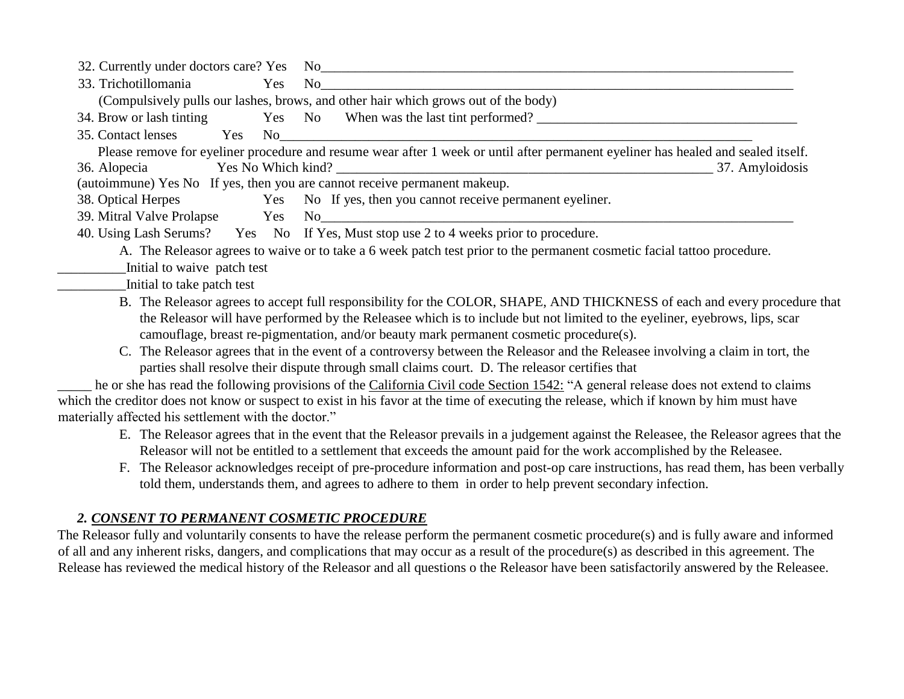|                                                                           | 32. Currently under doctors care? Yes No                                                                                          |
|---------------------------------------------------------------------------|-----------------------------------------------------------------------------------------------------------------------------------|
| 33. Trichotillomania<br>Yes                                               | No                                                                                                                                |
|                                                                           | (Compulsively pulls our lashes, brows, and other hair which grows out of the body)                                                |
|                                                                           | 34. Brow or lash tinting Yes No When was the last tint performed?                                                                 |
| 35. Contact lenses<br>Yes                                                 | $\rm No$                                                                                                                          |
|                                                                           | Please remove for eyeliner procedure and resume wear after 1 week or until after permanent eyeliner has healed and sealed itself. |
| 36. Alopecia                                                              |                                                                                                                                   |
| (autoimmune) Yes No If yes, then you are cannot receive permanent makeup. |                                                                                                                                   |
| 38. Optical Herpes                                                        | Yes No If yes, then you cannot receive permanent eyeliner.                                                                        |
|                                                                           |                                                                                                                                   |
|                                                                           | 40. Using Lash Serums? Yes No If Yes, Must stop use 2 to 4 weeks prior to procedure.                                              |
|                                                                           | A. The Releasor agrees to waive or to take a 6 week patch test prior to the permanent cosmetic facial tattoo procedure.           |
| Initial to waive patch test                                               |                                                                                                                                   |
| Initial to take patch test                                                |                                                                                                                                   |
|                                                                           | B. The Releasor agrees to accept full responsibility for the COLOR, SHAPE, AND THICKNESS of each and every procedure that         |
|                                                                           | the Releasor will have performed by the Releasee which is to include but not limited to the eyeliner, eyebrows, lips, scar        |
|                                                                           | camouflage, breast re-pigmentation, and/or beauty mark permanent cosmetic procedure(s).                                           |
|                                                                           | C. The Releasor agrees that in the event of a controversy between the Releasor and the Releasee involving a claim in tort, the    |

parties shall resolve their dispute through small claims court. D. The releasor certifies that

he or she has read the following provisions of the California Civil code Section 1542: "A general release does not extend to claims which the creditor does not know or suspect to exist in his favor at the time of executing the release, which if known by him must have materially affected his settlement with the doctor."

- E. The Releasor agrees that in the event that the Releasor prevails in a judgement against the Releasee, the Releasor agrees that the Releasor will not be entitled to a settlement that exceeds the amount paid for the work accomplished by the Releasee.
- F. The Releasor acknowledges receipt of pre-procedure information and post-op care instructions, has read them, has been verbally told them, understands them, and agrees to adhere to them in order to help prevent secondary infection.

### *2. CONSENT TO PERMANENT COSMETIC PROCEDURE*

The Releasor fully and voluntarily consents to have the release perform the permanent cosmetic procedure(s) and is fully aware and informed of all and any inherent risks, dangers, and complications that may occur as a result of the procedure(s) as described in this agreement. The Release has reviewed the medical history of the Releasor and all questions o the Releasor have been satisfactorily answered by the Releasee.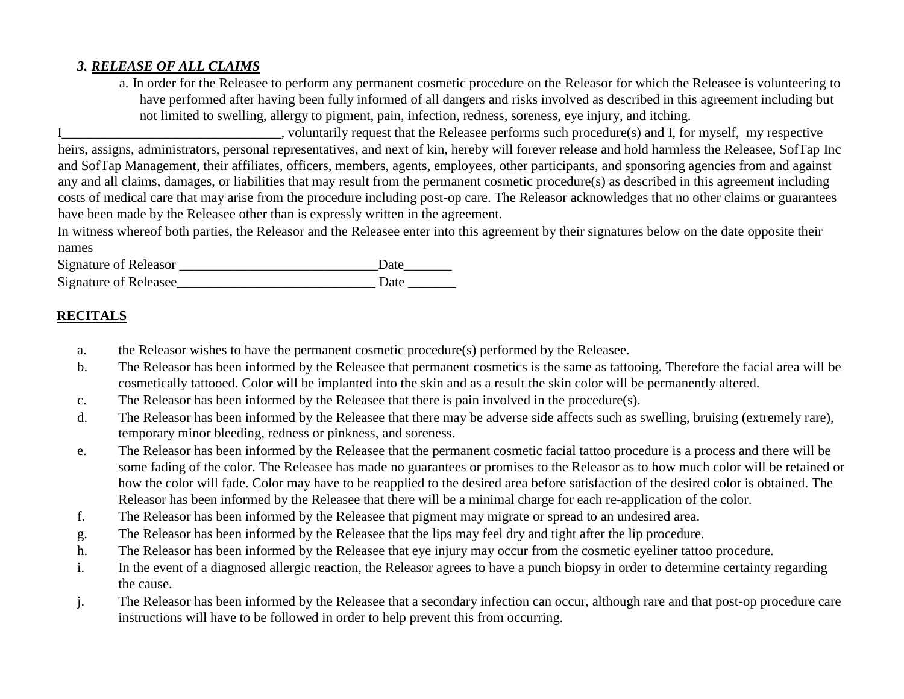#### *3. RELEASE OF ALL CLAIMS*

a. In order for the Releasee to perform any permanent cosmetic procedure on the Releasor for which the Releasee is volunteering to have performed after having been fully informed of all dangers and risks involved as described in this agreement including but not limited to swelling, allergy to pigment, pain, infection, redness, soreness, eye injury, and itching.

I. voluntarily request that the Releasee performs such procedure(s) and I, for myself, my respective heirs, assigns, administrators, personal representatives, and next of kin, hereby will forever release and hold harmless the Releasee, SofTap Inc and SofTap Management, their affiliates, officers, members, agents, employees, other participants, and sponsoring agencies from and against any and all claims, damages, or liabilities that may result from the permanent cosmetic procedure(s) as described in this agreement including costs of medical care that may arise from the procedure including post-op care. The Releasor acknowledges that no other claims or guarantees have been made by the Releasee other than is expressly written in the agreement.

In witness whereof both parties, the Releasor and the Releasee enter into this agreement by their signatures below on the date opposite their names

Signature of Releasor **Exercise 2** Date Signature of Releasee\_\_\_\_\_\_\_\_\_\_\_\_\_\_\_\_\_\_\_\_\_\_\_\_\_\_\_\_\_ Date \_\_\_\_\_\_\_

#### **RECITALS**

- a. the Releasor wishes to have the permanent cosmetic procedure(s) performed by the Releasee.
- b. The Releasor has been informed by the Releasee that permanent cosmetics is the same as tattooing. Therefore the facial area will be cosmetically tattooed. Color will be implanted into the skin and as a result the skin color will be permanently altered.
- c. The Releasor has been informed by the Releasee that there is pain involved in the procedure(s).
- d. The Releasor has been informed by the Releasee that there may be adverse side affects such as swelling, bruising (extremely rare), temporary minor bleeding, redness or pinkness, and soreness.
- e. The Releasor has been informed by the Releasee that the permanent cosmetic facial tattoo procedure is a process and there will be some fading of the color. The Releasee has made no guarantees or promises to the Releasor as to how much color will be retained or how the color will fade. Color may have to be reapplied to the desired area before satisfaction of the desired color is obtained. The Releasor has been informed by the Releasee that there will be a minimal charge for each re-application of the color.
- f. The Releasor has been informed by the Releasee that pigment may migrate or spread to an undesired area.
- g. The Releasor has been informed by the Releasee that the lips may feel dry and tight after the lip procedure.
- h. The Releasor has been informed by the Releasee that eye injury may occur from the cosmetic eyeliner tattoo procedure.
- i. In the event of a diagnosed allergic reaction, the Releasor agrees to have a punch biopsy in order to determine certainty regarding the cause.
- j. The Releasor has been informed by the Releasee that a secondary infection can occur, although rare and that post-op procedure care instructions will have to be followed in order to help prevent this from occurring.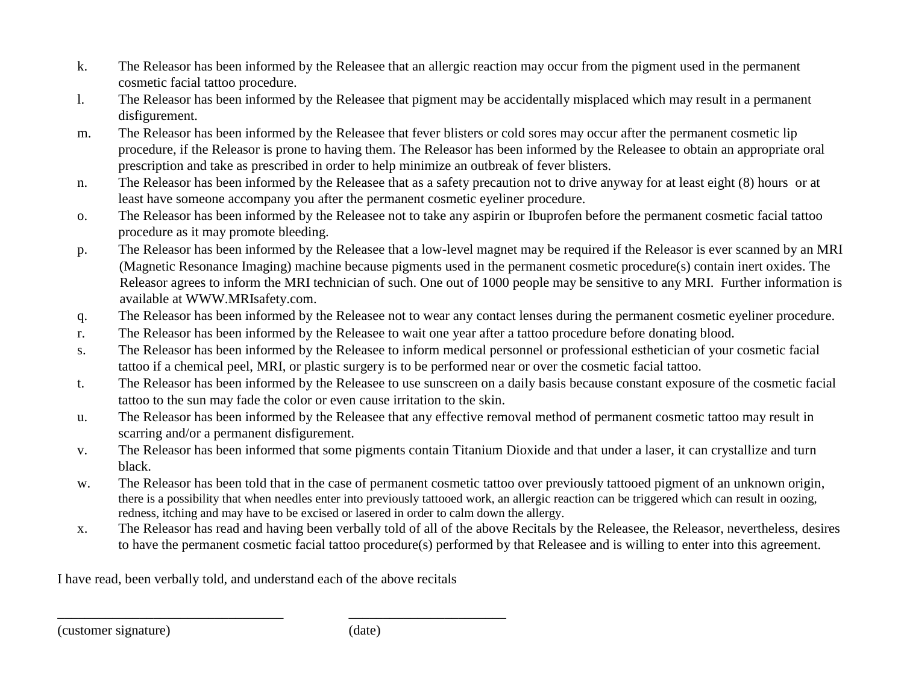- k. The Releasor has been informed by the Releasee that an allergic reaction may occur from the pigment used in the permanent cosmetic facial tattoo procedure.
- l. The Releasor has been informed by the Releasee that pigment may be accidentally misplaced which may result in a permanent disfigurement.
- m. The Releasor has been informed by the Releasee that fever blisters or cold sores may occur after the permanent cosmetic lip procedure, if the Releasor is prone to having them. The Releasor has been informed by the Releasee to obtain an appropriate oral prescription and take as prescribed in order to help minimize an outbreak of fever blisters.
- n. The Releasor has been informed by the Releasee that as a safety precaution not to drive anyway for at least eight (8) hours or at least have someone accompany you after the permanent cosmetic eyeliner procedure.
- o. The Releasor has been informed by the Releasee not to take any aspirin or Ibuprofen before the permanent cosmetic facial tattoo procedure as it may promote bleeding.
- p. The Releasor has been informed by the Releasee that a low-level magnet may be required if the Releasor is ever scanned by an MRI (Magnetic Resonance Imaging) machine because pigments used in the permanent cosmetic procedure(s) contain inert oxides. The Releasor agrees to inform the MRI technician of such. One out of 1000 people may be sensitive to any MRI. Further information is available at WWW.MRIsafety.com.
- q. The Releasor has been informed by the Releasee not to wear any contact lenses during the permanent cosmetic eyeliner procedure.
- r. The Releasor has been informed by the Releasee to wait one year after a tattoo procedure before donating blood.
- s. The Releasor has been informed by the Releasee to inform medical personnel or professional esthetician of your cosmetic facial tattoo if a chemical peel, MRI, or plastic surgery is to be performed near or over the cosmetic facial tattoo.
- t. The Releasor has been informed by the Releasee to use sunscreen on a daily basis because constant exposure of the cosmetic facial tattoo to the sun may fade the color or even cause irritation to the skin.
- u. The Releasor has been informed by the Releasee that any effective removal method of permanent cosmetic tattoo may result in scarring and/or a permanent disfigurement.
- v. The Releasor has been informed that some pigments contain Titanium Dioxide and that under a laser, it can crystallize and turn black.
- w. The Releasor has been told that in the case of permanent cosmetic tattoo over previously tattooed pigment of an unknown origin, there is a possibility that when needles enter into previously tattooed work, an allergic reaction can be triggered which can result in oozing, redness, itching and may have to be excised or lasered in order to calm down the allergy.
- x. The Releasor has read and having been verbally told of all of the above Recitals by the Releasee, the Releasor, nevertheless, desires to have the permanent cosmetic facial tattoo procedure(s) performed by that Releasee and is willing to enter into this agreement.

I have read, been verbally told, and understand each of the above recitals

\_\_\_\_\_\_\_\_\_\_\_\_\_\_\_\_\_\_\_\_\_\_\_\_\_\_\_\_\_\_\_\_\_ \_\_\_\_\_\_\_\_\_\_\_\_\_\_\_\_\_\_\_\_\_\_\_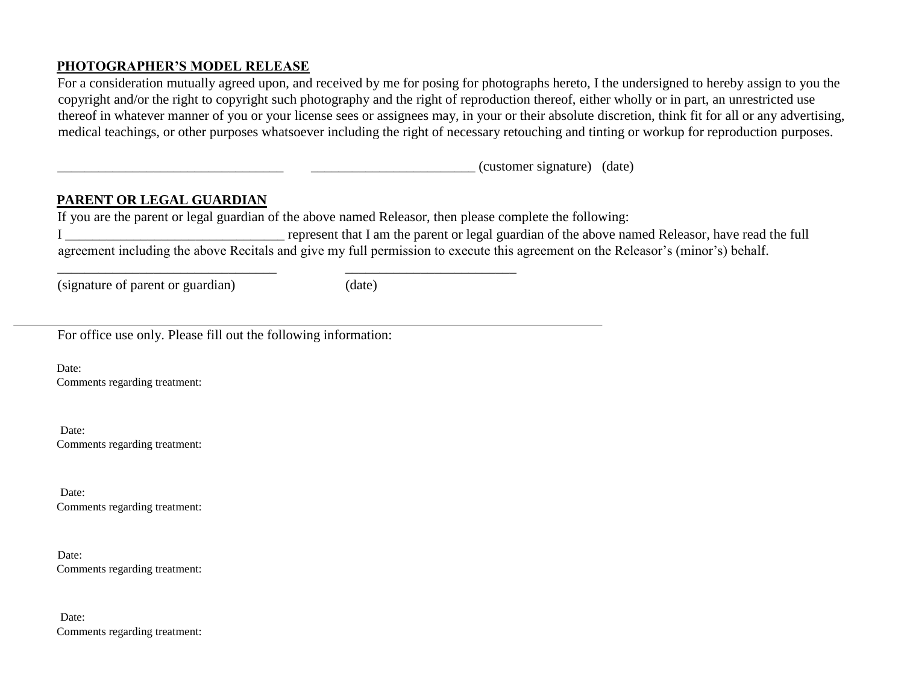#### **PHOTOGRAPHER'S MODEL RELEASE**

For a consideration mutually agreed upon, and received by me for posing for photographs hereto, I the undersigned to hereby assign to you the copyright and/or the right to copyright such photography and the right of reproduction thereof, either wholly or in part, an unrestricted use thereof in whatever manner of you or your license sees or assignees may, in your or their absolute discretion, think fit for all or any advertising, medical teachings, or other purposes whatsoever including the right of necessary retouching and tinting or workup for reproduction purposes.

 $(customer$  signature)  $(date)$ 

#### **PARENT OR LEGAL GUARDIAN**

If you are the parent or legal guardian of the above named Releasor, then please complete the following:

\_\_\_\_\_\_\_\_\_\_\_\_\_\_\_\_\_\_\_\_\_\_\_\_\_\_\_\_\_\_\_\_ \_\_\_\_\_\_\_\_\_\_\_\_\_\_\_\_\_\_\_\_\_\_\_\_\_

I represent that I am the parent or legal guardian of the above named Releasor, have read the full agreement including the above Recitals and give my full permission to execute this agreement on the Releasor's (minor's) behalf.

(signature of parent or guardian) (date)

For office use only. Please fill out the following information:

Date: Comments regarding treatment:

Date: Comments regarding treatment:

Date: Comments regarding treatment:

Date: Comments regarding treatment:

Date: Comments regarding treatment: